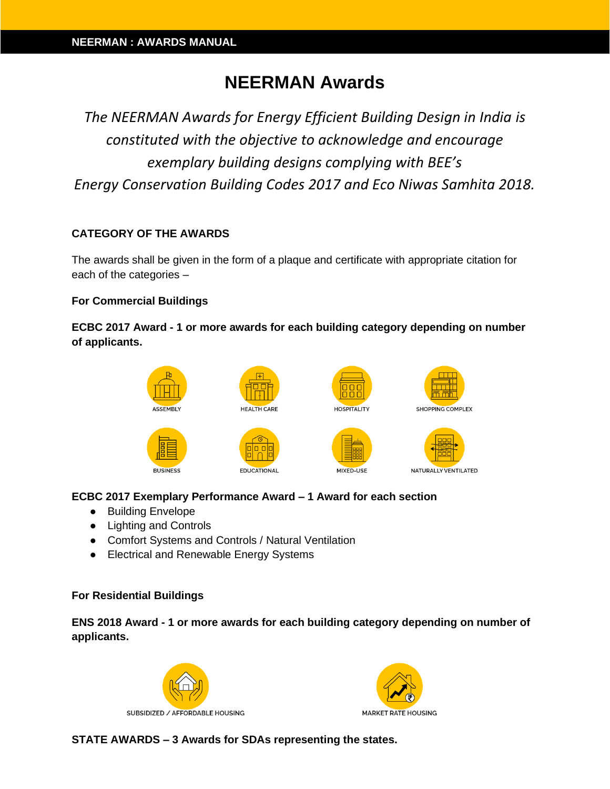# **NEERMAN Awards**

*The NEERMAN Awards for Energy Efficient Building Design in India is constituted with the objective to acknowledge and encourage exemplary building designs complying with BEE's Energy Conservation Building Codes 2017 and Eco Niwas Samhita 2018.*

## **CATEGORY OF THE AWARDS**

The awards shall be given in the form of a plaque and certificate with appropriate citation for each of the categories –

#### **For Commercial Buildings**

## **ECBC 2017 Award - 1 or more awards for each building category depending on number of applicants.**



## **ECBC 2017 Exemplary Performance Award – 1 Award for each section**

- Building Envelope
- Lighting and Controls
- Comfort Systems and Controls / Natural Ventilation
- Electrical and Renewable Energy Systems

#### **For Residential Buildings**

**ENS 2018 Award - 1 or more awards for each building category depending on number of applicants.**





**STATE AWARDS – 3 Awards for SDAs representing the states.**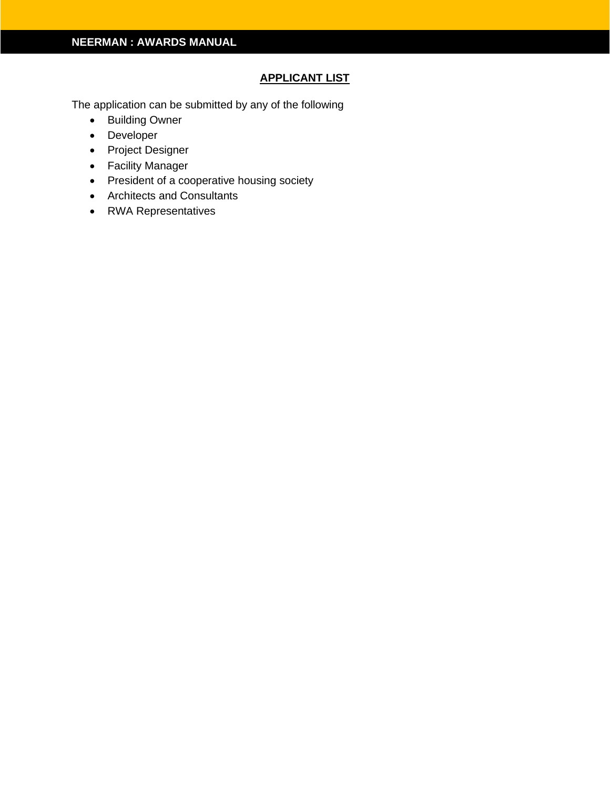## **APPLICANT LIST**

The application can be submitted by any of the following

- Building Owner
- Developer
- Project Designer
- Facility Manager
- President of a cooperative housing society
- Architects and Consultants
- RWA Representatives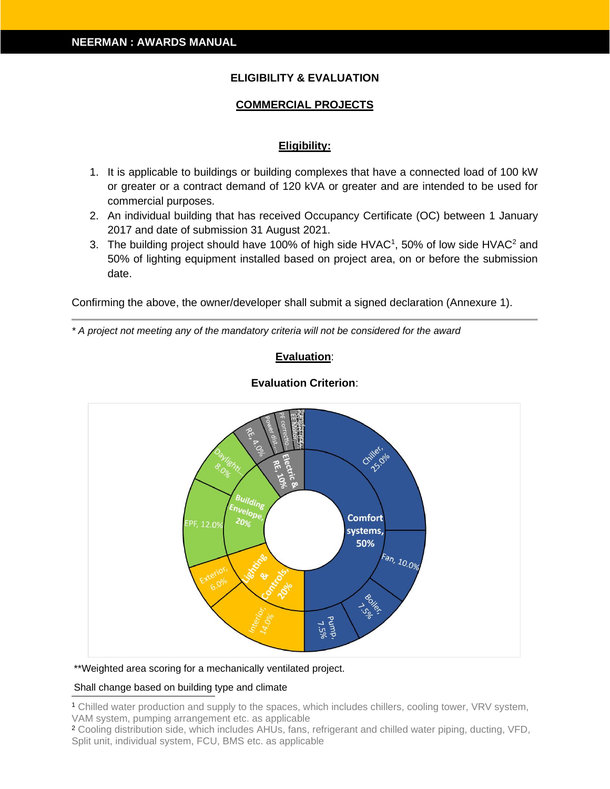## **ELIGIBILITY & EVALUATION**

## **COMMERCIAL PROJECTS**

#### **Eligibility:**

- 1. It is applicable to buildings or building complexes that have a connected load of 100 kW or greater or a contract demand of 120 kVA or greater and are intended to be used for commercial purposes.
- 2. An individual building that has received Occupancy Certificate (OC) between 1 January 2017 and date of submission 31 August 2021.
- 3. The building project should have 100% of high side HVAC<sup>1</sup>, 50% of low side HVAC<sup>2</sup> and 50% of lighting equipment installed based on project area, on or before the submission date.

Confirming the above, the owner/developer shall submit a signed declaration (Annexure 1).

*\* A project not meeting any of the mandatory criteria will not be considered for the award*

#### **Evaluation**:



#### **Evaluation Criterion**:

\*\*Weighted area scoring for a mechanically ventilated project.

#### Shall change based on building type and climate

<sup>1</sup> Chilled water production and supply to the spaces, which includes chillers, cooling tower, VRV system, VAM system, pumping arrangement etc. as applicable

<sup>2</sup> Cooling distribution side, which includes AHUs, fans, refrigerant and chilled water piping, ducting, VFD, Split unit, individual system, FCU, BMS etc. as applicable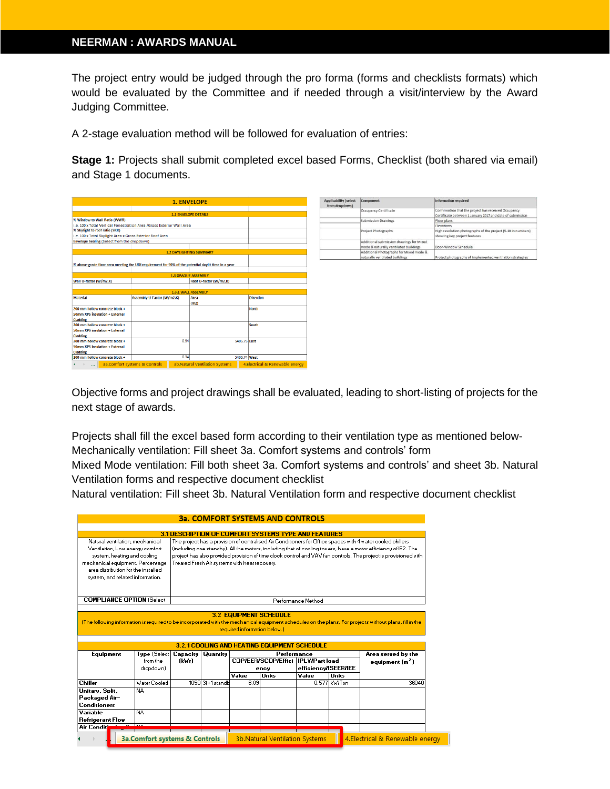The project entry would be judged through the pro forma (forms and checklists formats) which would be evaluated by the Committee and if needed through a visit/interview by the Award Judging Committee.

A 2-stage evaluation method will be followed for evaluation of entries:

**Stage 1:** Projects shall submit completed excel based Forms, Checklist (both shared via email) and Stage 1 documents.

| <b>1. ENVELOPE</b>                                                                                  |                            |                            |                                       |              |                                 |  |  |
|-----------------------------------------------------------------------------------------------------|----------------------------|----------------------------|---------------------------------------|--------------|---------------------------------|--|--|
|                                                                                                     |                            |                            |                                       |              |                                 |  |  |
| <b>1.1 ENVELOPE DETAILS</b>                                                                         |                            |                            |                                       |              |                                 |  |  |
| % Window to Wall Ratio (WWR)                                                                        |                            |                            |                                       |              |                                 |  |  |
| i.e. 100 x Total Vertical Fenestration Area /Gross Exterior Wall Area                               |                            |                            |                                       |              |                                 |  |  |
| % Skylight to roof ratio (SRR)                                                                      |                            |                            |                                       |              |                                 |  |  |
| i.e. 100 x Total Skylight Area x Gross Exterior Roof Area                                           |                            |                            |                                       |              |                                 |  |  |
| Envelope Sealing (Select from the dropdown)                                                         |                            |                            |                                       |              |                                 |  |  |
|                                                                                                     |                            |                            |                                       |              |                                 |  |  |
|                                                                                                     |                            |                            | <b>1.2 DAYLIGHTING SUMMARY</b>        |              |                                 |  |  |
|                                                                                                     |                            |                            |                                       |              |                                 |  |  |
| % above-grade floor area meeting the UDI requirement for 90% of the potential daylit time in a year |                            |                            |                                       |              |                                 |  |  |
|                                                                                                     |                            |                            |                                       |              |                                 |  |  |
|                                                                                                     |                            | <b>1.3 OPAQUE ASSEMBLY</b> |                                       |              |                                 |  |  |
| Wall U-factor (W/m2.K)                                                                              |                            |                            | Roof U-factor (W/m2.K)                |              |                                 |  |  |
|                                                                                                     |                            |                            |                                       |              |                                 |  |  |
|                                                                                                     |                            | <b>1.3.1 WALL ASSEMBLY</b> |                                       |              |                                 |  |  |
| <b>Material</b>                                                                                     | Assembly U Factor (W/m2.K) |                            | Area                                  |              | <b>Direction</b>                |  |  |
|                                                                                                     |                            |                            | (m2)                                  |              |                                 |  |  |
| 200 mm hollow concrete block +                                                                      |                            |                            |                                       |              | <b>North</b>                    |  |  |
| <b>50mm XPS insulation + External</b>                                                               |                            |                            |                                       |              |                                 |  |  |
| Cladding                                                                                            |                            |                            |                                       |              |                                 |  |  |
| 200 mm hollow concrete block +                                                                      |                            |                            |                                       |              | South                           |  |  |
| <b>50mm XPS insulation + External</b>                                                               |                            |                            |                                       |              |                                 |  |  |
| Cladding                                                                                            |                            |                            |                                       |              |                                 |  |  |
| 200 mm hollow concrete block +                                                                      |                            | 0.34                       |                                       | 5405.75 East |                                 |  |  |
| 50mm XPS insulation + External                                                                      |                            |                            |                                       |              |                                 |  |  |
| Cladding                                                                                            |                            | 0.34                       |                                       |              |                                 |  |  |
| 200 mm hollow concrete block +                                                                      |                            |                            | 5406.74 West                          |              |                                 |  |  |
| 3a.Comfort systems & Controls                                                                       |                            |                            | <b>3b.Natural Ventilation Systems</b> |              | 4.Electrical & Renewable energy |  |  |

| <b>Applicability (select</b><br>from dropdown) | Component                                                                         | Information required                                                                                              |  |  |
|------------------------------------------------|-----------------------------------------------------------------------------------|-------------------------------------------------------------------------------------------------------------------|--|--|
|                                                | Occupancy Certificate                                                             | Confirmation that the project has received Occupancy<br>Certificate between 1 January 2017 and date of submission |  |  |
|                                                | <b>Submission Drawings</b><br>Project Photographs                                 | Floor plans                                                                                                       |  |  |
|                                                |                                                                                   | <b>Elevations</b>                                                                                                 |  |  |
|                                                |                                                                                   | High resolution photographs of the project (5-10 in numbers)<br>showing key project features                      |  |  |
|                                                | Additional submission drawings for Mixed<br>mode & naturally ventilated buildings | Door-Window Schedule                                                                                              |  |  |
|                                                | Additional Photographs for Mixed mode &<br>naturally ventilated buildings         | Project photographs of implemented ventilation strategies                                                         |  |  |

Objective forms and project drawings shall be evaluated, leading to short-listing of projects for the next stage of awards.

Projects shall fill the excel based form according to their ventilation type as mentioned below-Mechanically ventilation: Fill sheet 3a. Comfort systems and controls' form

Mixed Mode ventilation: Fill both sheet 3a. Comfort systems and controls' and sheet 3b. Natural Ventilation forms and respective document checklist

Natural ventilation: Fill sheet 3b. Natural Ventilation form and respective document checklist

|                                                                                                                                                                                                                  |                                  |                                                                                                                                                                                                                                                                                                                                                                                                  |                   |                              | <b>3a. COMFORT SYSTEMS AND CONTROLS</b>                                                                    |                      |              |                                                   |
|------------------------------------------------------------------------------------------------------------------------------------------------------------------------------------------------------------------|----------------------------------|--------------------------------------------------------------------------------------------------------------------------------------------------------------------------------------------------------------------------------------------------------------------------------------------------------------------------------------------------------------------------------------------------|-------------------|------------------------------|------------------------------------------------------------------------------------------------------------|----------------------|--------------|---------------------------------------------------|
|                                                                                                                                                                                                                  |                                  |                                                                                                                                                                                                                                                                                                                                                                                                  |                   |                              | <b>3.1 DESCRIPTION OF COMFORT SYSTEMS TYPE AND FEATURES</b>                                                |                      |              |                                                   |
| Natural ventilation, mechanical<br>Ventilation, Low energy comfort<br>system, heating and cooling<br>mechanical equipment. Percentage<br>area distribution for the installed<br>system, and related information. |                                  | The project has a provision of centralised Air Conditioners for Office spaces with 4 water cooled chillers<br>(including one standby). All the motors, including that of cooling towers, have a motor efficiency of IE2. The<br>project has also provided provision of time clock control and VAV fan controls. The project is provisioned with<br>Treated Fresh Air systems with heat recovery. |                   |                              |                                                                                                            |                      |              |                                                   |
| <b>COMPLIANCE OPTION (Select</b>                                                                                                                                                                                 |                                  |                                                                                                                                                                                                                                                                                                                                                                                                  |                   |                              |                                                                                                            | Performance Method   |              |                                                   |
| Equipment                                                                                                                                                                                                        | Tupe (Select<br>from the         | Capacity<br>(kWr)                                                                                                                                                                                                                                                                                                                                                                                | <b>Quantity</b>   | required information below.) | <b>3.2.1 COOLING AND HEATING EQUIPMENT SCHEDULE</b><br>Performance<br>COP/EER/SCOP/Effici   IPLV/Part load |                      |              | Area served by the<br>equipment (m <sup>2</sup> ) |
|                                                                                                                                                                                                                  | dropdown)                        |                                                                                                                                                                                                                                                                                                                                                                                                  |                   |                              | ency                                                                                                       | efficiency/ISEER/IEE |              |                                                   |
|                                                                                                                                                                                                                  |                                  |                                                                                                                                                                                                                                                                                                                                                                                                  |                   |                              |                                                                                                            |                      |              |                                                   |
|                                                                                                                                                                                                                  |                                  |                                                                                                                                                                                                                                                                                                                                                                                                  |                   | Value                        | <b>Units</b>                                                                                               | Value                | <b>Units</b> |                                                   |
|                                                                                                                                                                                                                  | <b>Water Cooled</b><br><b>NA</b> |                                                                                                                                                                                                                                                                                                                                                                                                  | 1050 3(+1 standb) | 6.09                         |                                                                                                            |                      | 0.577 KV/Ton | 36040                                             |
| <b>Chiller</b><br>Unitary, Split,<br>Packaged Air-<br>Conditioners<br>Variable<br>Refrigerant Flow                                                                                                               | <b>NA</b>                        |                                                                                                                                                                                                                                                                                                                                                                                                  |                   |                              |                                                                                                            |                      |              |                                                   |
| <b>Air Conditionin</b>                                                                                                                                                                                           | لمتملأ                           |                                                                                                                                                                                                                                                                                                                                                                                                  |                   |                              |                                                                                                            |                      |              |                                                   |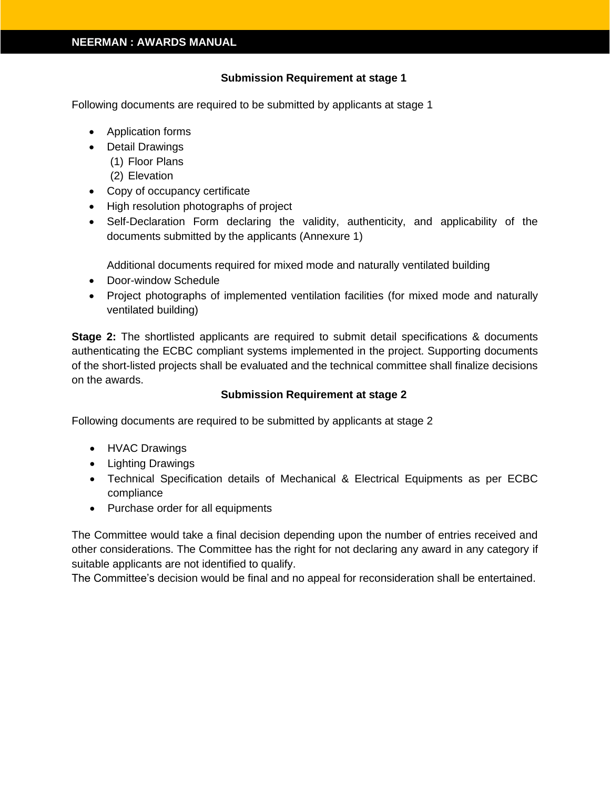#### **Submission Requirement at stage 1**

Following documents are required to be submitted by applicants at stage 1

- Application forms
- Detail Drawings
	- (1) Floor Plans
		- (2) Elevation
- Copy of occupancy certificate
- High resolution photographs of project
- Self-Declaration Form declaring the validity, authenticity, and applicability of the documents submitted by the applicants (Annexure 1)

Additional documents required for mixed mode and naturally ventilated building

- Door-window Schedule
- Project photographs of implemented ventilation facilities (for mixed mode and naturally ventilated building)

**Stage 2:** The shortlisted applicants are required to submit detail specifications & documents authenticating the ECBC compliant systems implemented in the project. Supporting documents of the short-listed projects shall be evaluated and the technical committee shall finalize decisions on the awards.

#### **Submission Requirement at stage 2**

Following documents are required to be submitted by applicants at stage 2

- HVAC Drawings
- Lighting Drawings
- Technical Specification details of Mechanical & Electrical Equipments as per ECBC compliance
- Purchase order for all equipments

The Committee would take a final decision depending upon the number of entries received and other considerations. The Committee has the right for not declaring any award in any category if suitable applicants are not identified to qualify.

The Committee's decision would be final and no appeal for reconsideration shall be entertained.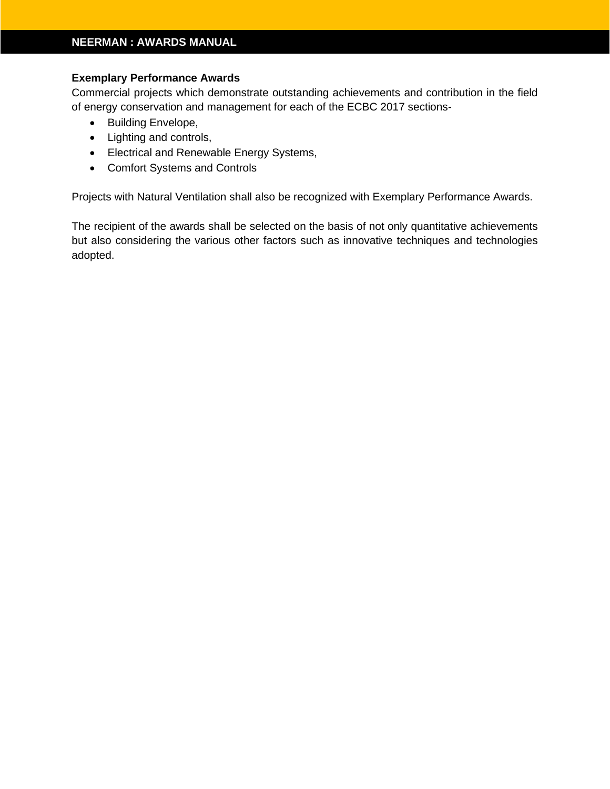#### **Exemplary Performance Awards**

Commercial projects which demonstrate outstanding achievements and contribution in the field of energy conservation and management for each of the ECBC 2017 sections-

- Building Envelope,
- Lighting and controls,
- Electrical and Renewable Energy Systems,
- Comfort Systems and Controls

Projects with Natural Ventilation shall also be recognized with Exemplary Performance Awards.

The recipient of the awards shall be selected on the basis of not only quantitative achievements but also considering the various other factors such as innovative techniques and technologies adopted.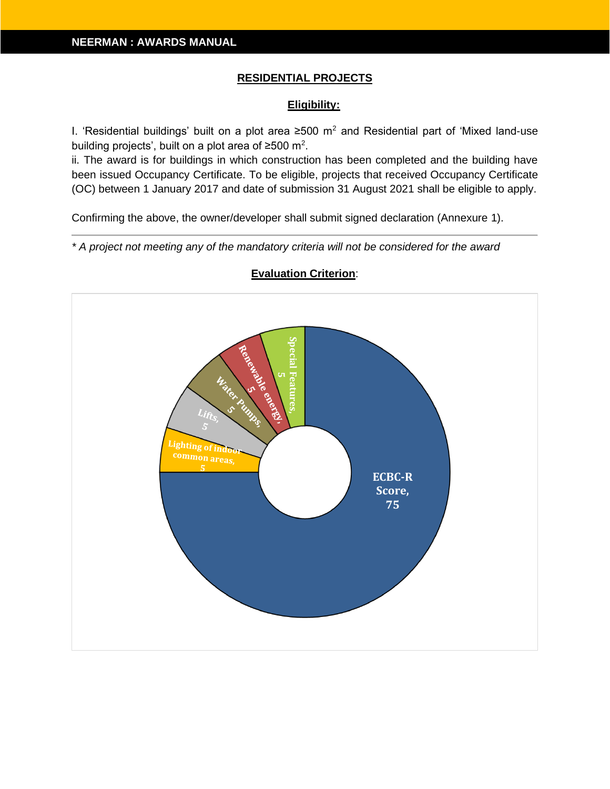#### **RESIDENTIAL PROJECTS**

#### **Eligibility:**

I. 'Residential buildings' built on a plot area ≥500 m<sup>2</sup> and Residential part of 'Mixed land-use building projects', built on a plot area of ≥500 m<sup>2</sup>.

ii. The award is for buildings in which construction has been completed and the building have been issued Occupancy Certificate. To be eligible, projects that received Occupancy Certificate (OC) between 1 January 2017 and date of submission 31 August 2021 shall be eligible to apply.

Confirming the above, the owner/developer shall submit signed declaration (Annexure 1).

*\* A project not meeting any of the mandatory criteria will not be considered for the award*



#### **Evaluation Criterion**: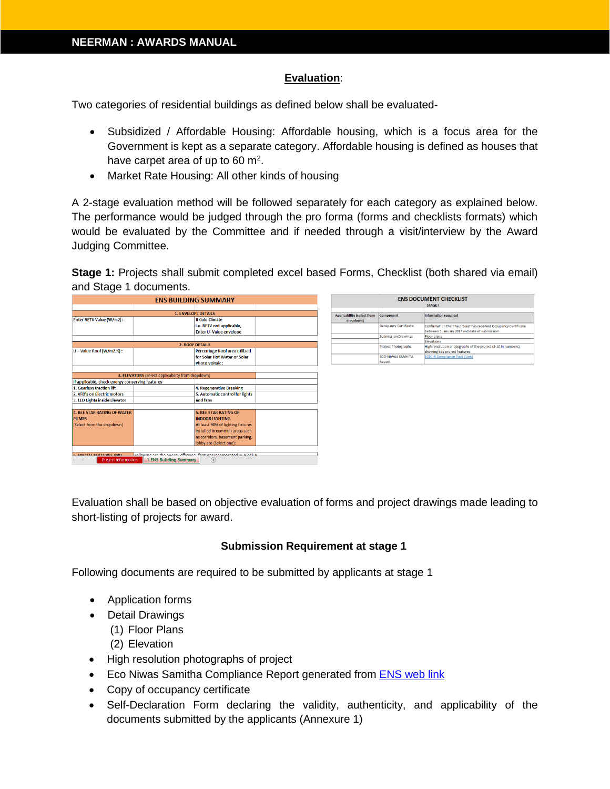#### **Evaluation**:

Two categories of residential buildings as defined below shall be evaluated-

- Subsidized / Affordable Housing: Affordable housing, which is a focus area for the Government is kept as a separate category. Affordable housing is defined as houses that have carpet area of up to 60  $\mathrm{m}^2$ .
- Market Rate Housing: All other kinds of housing

A 2-stage evaluation method will be followed separately for each category as explained below. The performance would be judged through the pro forma (forms and checklists formats) which would be evaluated by the Committee and if needed through a visit/interview by the Award Judging Committee.

**Stage 1:** Projects shall submit completed excel based Forms, Checklist (both shared via email) and Stage 1 documents.

| <b>ENS BUILDING SUMMARY</b>                                  |                                                                       |                                   | <b>ENS DOCUMENT CHECKLIST</b> |                                   |                            |                                                                  |
|--------------------------------------------------------------|-----------------------------------------------------------------------|-----------------------------------|-------------------------------|-----------------------------------|----------------------------|------------------------------------------------------------------|
|                                                              |                                                                       |                                   |                               |                                   |                            | <b>STAGE I</b>                                                   |
|                                                              |                                                                       | <b>1. ENVELOPE DETAILS</b>        |                               | <b>Applicability (select from</b> | Component                  | <b>Information required</b>                                      |
| Enter RETV Value (W/m2):                                     |                                                                       | If Cold Climate                   |                               | dropdown)                         |                            |                                                                  |
|                                                              |                                                                       | i.e. RETV not applicable,         |                               |                                   | Occupancy Certificate      | Confirmation that the project has received Occupancy Certificate |
|                                                              |                                                                       | <b>Enter U-Value envelope</b>     |                               |                                   |                            | between 1 January 2017 and date of submission                    |
|                                                              |                                                                       |                                   |                               |                                   | <b>Submission Drawings</b> | Floor plans                                                      |
|                                                              |                                                                       | <b>2. ROOF DETAILS</b>            |                               |                                   |                            | Elevations                                                       |
|                                                              |                                                                       |                                   |                               |                                   | <b>Project Photographs</b> | High resolution photographs of the project (5-10 in numbers)     |
| U - Value Roof (W/m2.K) :                                    |                                                                       | Percentage Roof area utilized     |                               |                                   |                            | showing key project features                                     |
|                                                              |                                                                       | for Solar Hot Water or Solar      |                               |                                   | <b>ECO-NIWAS SAMHITA</b>   | <b>ECBC-R Compliance Tool (Link)</b>                             |
|                                                              |                                                                       | <b>Photo Voltaic:</b>             |                               |                                   | Report                     |                                                                  |
|                                                              |                                                                       |                                   |                               |                                   |                            |                                                                  |
|                                                              | 3. ELEVATORS (Select applicability from dropdown)                     |                                   |                               |                                   |                            |                                                                  |
| If applicable, check energy conserving features              |                                                                       |                                   |                               |                                   |                            |                                                                  |
| 1. Gearless traction lift                                    |                                                                       | 4. Regenerative Breaking          |                               |                                   |                            |                                                                  |
| 2. VFD's on Electric motors                                  |                                                                       | 5. Automatic control for lights   |                               |                                   |                            |                                                                  |
| 3. LED Lights inside Elevator                                |                                                                       | and fans                          |                               |                                   |                            |                                                                  |
|                                                              |                                                                       |                                   |                               |                                   |                            |                                                                  |
| 4. BEE STAR RATING OF WATER                                  |                                                                       | <b>5. BEE STAR RATING OF</b>      |                               |                                   |                            |                                                                  |
| <b>PUMPS</b>                                                 |                                                                       | <b>INDOOR LIGHTING</b>            |                               |                                   |                            |                                                                  |
| (Select from the dropdown)                                   |                                                                       | At least 90% of lighting fixtures |                               |                                   |                            |                                                                  |
|                                                              |                                                                       | installed in common areas such    |                               |                                   |                            |                                                                  |
|                                                              |                                                                       | as corridors, basement parking,   |                               |                                   |                            |                                                                  |
|                                                              |                                                                       | lobby are (Select one):           |                               |                                   |                            |                                                                  |
|                                                              |                                                                       |                                   |                               |                                   |                            |                                                                  |
|                                                              | Enliquing are the anormi officiancy fastures incornarated in Block B. |                                   |                               |                                   |                            |                                                                  |
| <b>6 CDECIAL EEATLIDEC AND</b><br><b>Project Information</b> | <b>1.ENS Building Summary</b>                                         | $\bigoplus$                       |                               |                                   |                            |                                                                  |

Evaluation shall be based on objective evaluation of forms and project drawings made leading to short-listing of projects for award.

#### **Submission Requirement at stage 1**

Following documents are required to be submitted by applicants at stage 1

- Application forms
- Detail Drawings
	- (1) Floor Plans
	- (2) Elevation
- High resolution photographs of project
- Eco Niwas Samitha Compliance Report generated from [ENS web link](https://drive.google.com/file/d/1mgAhu9wIpuggkJHjOMI45Yd82sHPXhxn/view)
- Copy of occupancy certificate
- Self-Declaration Form declaring the validity, authenticity, and applicability of the documents submitted by the applicants (Annexure 1)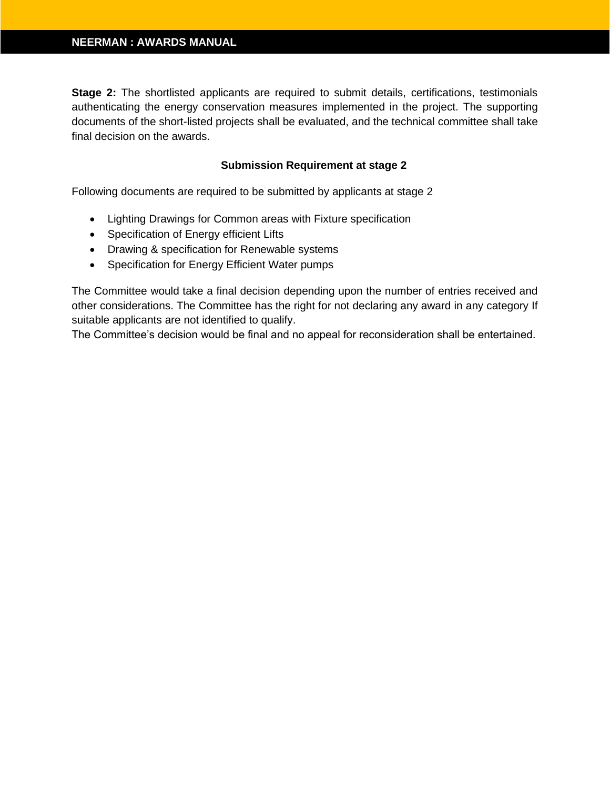**Stage 2:** The shortlisted applicants are required to submit details, certifications, testimonials authenticating the energy conservation measures implemented in the project. The supporting documents of the short-listed projects shall be evaluated, and the technical committee shall take final decision on the awards.

#### **Submission Requirement at stage 2**

Following documents are required to be submitted by applicants at stage 2

- Lighting Drawings for Common areas with Fixture specification
- Specification of Energy efficient Lifts
- Drawing & specification for Renewable systems
- Specification for Energy Efficient Water pumps

The Committee would take a final decision depending upon the number of entries received and other considerations. The Committee has the right for not declaring any award in any category If suitable applicants are not identified to qualify.

The Committee's decision would be final and no appeal for reconsideration shall be entertained.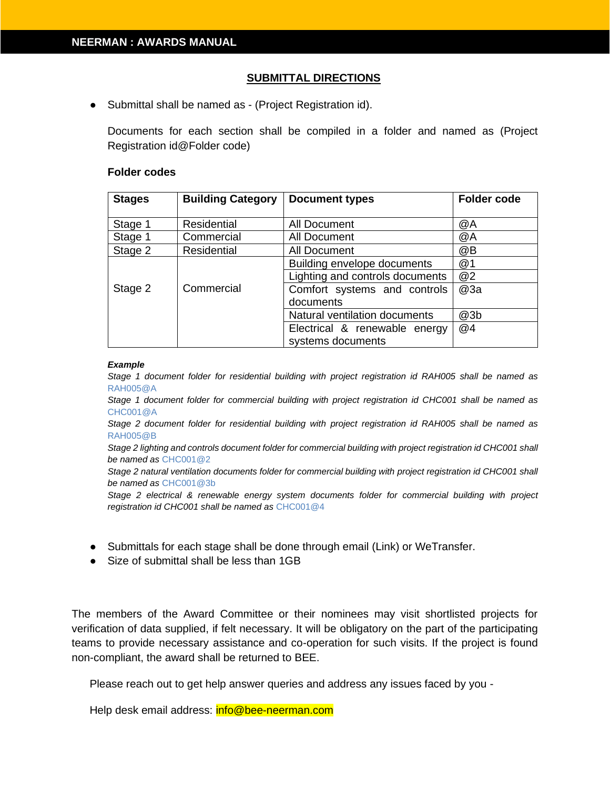#### **SUBMITTAL DIRECTIONS**

● Submittal shall be named as - (Project Registration id).

Documents for each section shall be compiled in a folder and named as (Project Registration id@Folder code)

#### **Folder codes**

| <b>Stages</b> | <b>Building Category</b> | <b>Document types</b>           | <b>Folder code</b> |
|---------------|--------------------------|---------------------------------|--------------------|
|               |                          |                                 |                    |
| Stage 1       | <b>Residential</b>       | All Document                    | @A                 |
| Stage 1       | Commercial               | All Document                    | @A                 |
| Stage 2       | <b>Residential</b>       | All Document                    | @B                 |
|               |                          | Building envelope documents     | @1                 |
|               |                          | Lighting and controls documents | @2                 |
| Stage 2       | Commercial               | Comfort systems and controls    | @3a                |
|               |                          | documents                       |                    |
|               |                          | Natural ventilation documents   | @3b                |
|               |                          | Electrical & renewable energy   | @4                 |
|               |                          | systems documents               |                    |

#### *Example*

*Stage 1 document folder for residential building with project registration id RAH005 shall be named as*  RAH005@A

*Stage 1 document folder for commercial building with project registration id CHC001 shall be named as* CHC001@A

*Stage 2 document folder for residential building with project registration id RAH005 shall be named as*  RAH005@B

*Stage 2 lighting and controls document folder for commercial building with project registration id CHC001 shall be named as* CHC001@2

*Stage 2 natural ventilation documents folder for commercial building with project registration id CHC001 shall be named as* CHC001@3b

*Stage 2 electrical & renewable energy system documents folder for commercial building with project registration id CHC001 shall be named as* CHC001@4

- Submittals for each stage shall be done through email (Link) or WeTransfer.
- Size of submittal shall be less than 1GB

The members of the Award Committee or their nominees may visit shortlisted projects for verification of data supplied, if felt necessary. It will be obligatory on the part of the participating teams to provide necessary assistance and co-operation for such visits. If the project is found non-compliant, the award shall be returned to BEE.

Please reach out to get help answer queries and address any issues faced by you -

Help desk email address: info@bee-neerman.com